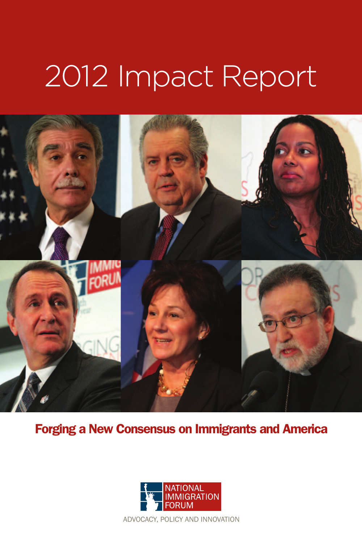# 2012 Impact Report



Forging a New Consensus on Immigrants and America

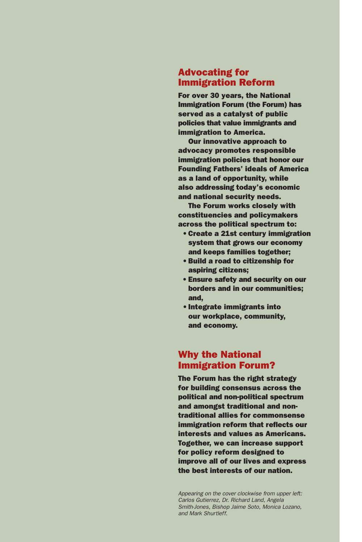## Advocating for Immigration Reform

For over 30 years, the National Immigration Forum (the Forum) has served as a catalyst of public policies that value immigrants and immigration to America.

Our innovative approach to advocacy promotes responsible immigration policies that honor our Founding Fathers' ideals of America as a land of opportunity, while also addressing today's economic and national security needs.

The Forum works closely with constituencies and policymakers across the political spectrum to:

- •Create a 21st century immigration system that grows our economy and keeps families together;
- •Build a road to citizenship for aspiring citizens;
- Ensure safety and security on our borders and in our communities; and,
- •Integrate immigrants into our workplace, community, and economy.

# Why the National Immigration Forum?

The Forum has the right strategy for building consensus across the political and non-political spectrum and amongst traditional and nontraditional allies for commonsense immigration reform that reflects our interests and values as Americans. Together, we can increase support for policy reform designed to improve all of our lives and express the best interests of our nation.

*Appearing on the cover clockwise from upper left: Carlos Gutierrez, Dr. Richard Land, Angela Smith-Jones, Bishop Jaime Soto, Monica Lozano, and Mark Shurtleff.*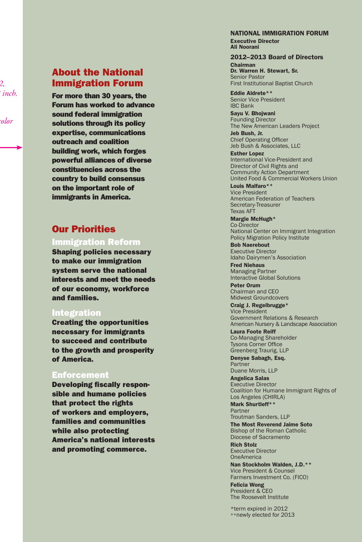# About the National Immigration Forum

For more than 30 years, the Forum has worked to advance sound federal immigration solutions through its policy expertise, communications outreach and coalition building work, which forges powerful alliances of diverse constituencies across the country to build consensus on the important role of immigrants in America.

# Our Priorities

## Immigration Reform

Shaping policies necessary to make our immigration system serve the national interests and meet the needs of our economy, workforce and families.

## Integration

Creating the opportunities necessary for immigrants to succeed and contribute to the growth and prosperity of America.

### Enforcement

Developing fiscally respon sible and humane policies that protect the rights of workers and employers, families and communities while also protecting America's national interests and promoting commerce.

#### NATIONAL IMMIGRATION FORUM Executive Director Ali Noorani

#### 2012–2013 Board of Directors

Chairman Dr. Warren H. Stewart, Sr. Senior Pastor First Institutional Baptist Church

Eddie Aldrete\*\* Senior Vice President IBC Bank

Sayu V. Bhojwani Founding Director The New American Leaders Project

Jeb Bush, Jr. Chief Operating Officer Jeb Bush & Associates, LLC

Esther Lopez International Vice-President and Director of Civil Rights and Community Action Department United Food & Commercial Workers Union

Louis Malfaro\*\* Vice President American Federation of Teachers Secretary-Treasurer Texas AFT

Margie McHugh\* Co-Director National Center on Immigrant Integration Policy Migration Policy Institute

Bob Naerebout Executive Director Idaho Dairymen's Association

Fred Niehaus Managing Partner Interactive Global Solutions

Peter Orum Chairman and CEO Midwest Groundcovers

Craig J. Regelbrugge\* Vice President Government Relations & Research American Nursery & Landscape Association

Laura Foote Reiff Co-Managing Shareholder Tysons Corner Office Greenberg Traurig, LLP

Denyse Sabagh, Esq. Partner Duane Morris, LLP

Angelica Salas Executive Director Coalition for Humane Immigrant Rights of Los Angeles (CHIRLA)

Mark Shurtleff\*\* Partner Troutman Sanders, LLP

The Most Reverend Jaime Soto Bishop of the Roman Catholic Diocese of Sacramento

Rich Stolz Executive Director OneAmerica

Nan Stockholm Walden, J.D.\*\* Vice President & Counsel Farmers Investment Co. (FICO)

Felicia Wong President & CEO The Roosevelt Institute

\*term expired in 2012 \*\*newly elected for 2013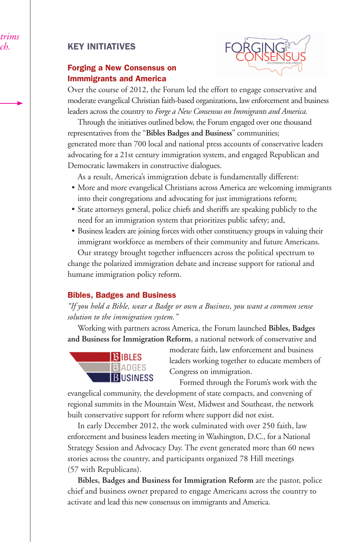# KEY INITIATIVES

# Forging a New Consensus on Immmigrants and America



Over the course of 2012, the Forum led the effort to engage conservative and moderate evangelical Christian faith-based organizations, law enforcement and business leaders across the country to *Forge a New Consensus on Immigrants and America.*

Through the initiatives outlined below, the Forum engaged over one thousand representatives from the "**Bibles Badges and Business**" communities; generated more than 700 local and national press accounts of conservative leaders advocating for a 21st century immigration system, and engaged Republican and Democratic lawmakers in constructive dialogues.

As a result, America's immigration debate is fundamentally different:

- More and more evangelical Christians across America are welcoming immigrants into their congregations and advocating for just immigrations reform;
- State attorneys general, police chiefs and sheriffs are speaking publicly to the need for an immigration system that prioritizes public safety; and,
- Business leaders are joining forces with other constituency groups in valuing their immigrant workforce as members of their community and future Americans.

Our strategy brought together influencers across the political spectrum to change the polarized immigration debate and increase support for rational and humane immigration policy reform.

## Bibles, Badges and Business

*"If you hold a Bible, wear a Badge or own a Business, you want a common sense solution to the immigration system."*

Working with partners across America, the Forum launched **Bibles, Badges and Business for Immigration Reform**, a national network of conservative and



moderate faith, law enforcement and business leaders working together to educate members of Congress on immigration.

Formed through the Forum's work with the

evangelical community, the development of state compacts, and convening of regional summits in the Mountain West, Midwest and Southeast, the network built conservative support for reform where support did not exist.

In early December 2012, the work culminated with over 250 faith, law enforcement and business leaders meeting in Washington, D.C., for a National Strategy Session and Advocacy Day. The event generated more than 60 news stories across the country, and participants organized 78 Hill meetings (57 with Republicans).

**Bibles, Badges and Business for Immigration Reform** are the pastor, police chief and business owner prepared to engage Americans across the country to activate and lead this new consensus on immigrants and America.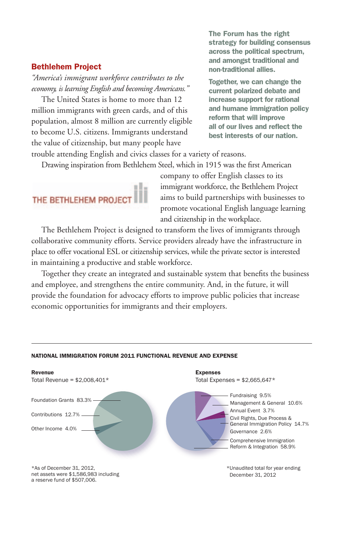#### Bethlehem Project

*"America's immigrant workforce contributes to the economy, is learning English and becoming Americans."* 

The United States is home to more than 12 million immigrants with green cards, and of this population, almost 8 million are currently eligible to become U.S. citizens. Immigrants understand the value of citizenship, but many people have

The Forum has the right strategy for building consensus across the political spectrum, and amongst traditional and non-traditional allies.

Together, we can change the current polarized debate and increase support for rational and humane immigration policy reform that will improve all of our lives and reflect the best interests of our nation.

trouble attending English and civics classes for a variety of reasons.

Drawing inspiration from Bethlehem Steel, which in 1915 was the first American



company to offer English classes to its immigrant workforce, the Bethlehem Project aims to build partnerships with businesses to promote vocational English language learning and citizenship in the workplace.

The Bethlehem Project is designed to transform the lives of immigrants through collaborative community efforts. Service providers already have the infrastructure in place to offer vocational ESL or citizenship services, while the private sector is interested in maintaining a productive and stable workforce.

Together they create an integrated and sustainable system that benefits the business and employee, and strengthens the entire community. And, in the future, it will provide the foundation for advocacy efforts to improve public policies that increase economic opportunities for immigrants and their employers.



#### NATIONAL IMMIGRATION FORUM 2011 FUNCTIONAL REVENUE AND EXPENSE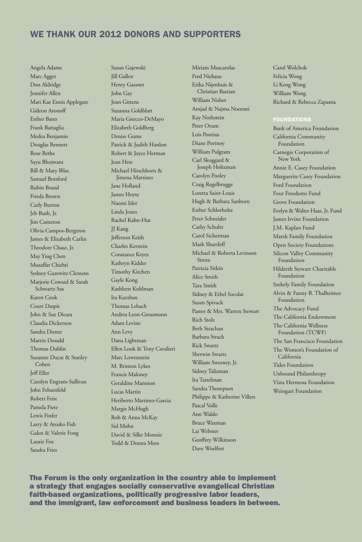# WE THANK OUR 2012 DONORS AND SUPPORTERS

Angela Adams Marc Agger Don Aldridge Jennifer Allen Mari Kae Ennis Applegate Gideon Aronoff Esther Bates Frank Battaglia Medea Benjamin Douglas Bennett Rose Bethe Sayu Bhojwani Bill & Mary Bliss Samuel Botsford Robin Brand Frieda Brown Carly Burton Jeb Bush, Jr. Jim Cameron Olivia Campos-Bergeron James & Elizabeth Carlin Theodore Chase, Jr. May Ying Chen Muzaffar Chishti Sydney Gurewitz Clemens Marjorie Coward & Sarah Schwartz Sax Karen Cook Court Daspit John & Sue Dicara Claudia Dickerson Sandra Diener Martin Donald Thomas Dublin Suzanne Ducat & Stanley Cohen Jeff Eller Carolyn Engram-Sullivan John Fehsenfeld Robert Feist Pamela Fiete Lewis Finfer Larry & Atsuko Fish Galen & Valerie Fong Laurie Fox Sandra Fries

Susan Gajewski Jill Gallen Henry Gassner John Gay Joan Gittens Suzanna Goldblatt Maria Gnecco-DeMayo Elizabeth Goldberg Denise Gums Patrick & Judith Hanlon Robert & Joyce Herman Jean Hess Michael Hirschhorn & Jimena Martinez Jane Holland James Hoyte Naomi Isler Linda Jones Rachel Kahn-Hut JJ Kang Jefferson Keith Charles Kerstein Constance Keyes Kathryn Kidder Timothy Kitchen Gayle Kong Kathleen Kuhlman Ira Kurzban Thomas Lebach Andrea Leon-Grossmann Adam Levine Ann Levy Dana Lightman Ellen Look & Tony Cavalieri Marc Lowenstein M. Brinton Lykes Francis Maloney Geraldine Mannion Lucas Martin Heriberto Martinez-Garcia Margie McHugh Rob & Anna McKay Sid Mohn David & Silke Monnie Todd & Donna Moss

Miriam Muscarolas Fred Niehaus Erika Nijenhuis & Christian Bastian William Nisbet Amjad & Najma Noorani Kay Nothstein Peter Orum Lois Pontius Diane Portnoy William Pulgram Carl Skoggard & Joseph Holtzman Carolyn Pooley Craig Regelbrugge Loretta Saint-Louis Hugh & Barbara Sanborn Esther Schlorholtz Peter Schneider Cathy Schultz Carol Sicherman Mark Shurtleff Michael & Roberta Levinson Sirota Patricia Sitkin Alice Smith Tara Smith Sidney & Ethel Socolar Susan Spivack Pastor & Mrs. Warren Stewart Rich Stolz Beth Strachan Barbara Strack Rick Swartz Sherwin Swartz William Sweeney, Jr. Sidney Talisman Ira Tattelman Sandra Thompson Philippe & Katherine Villers Pascal Volle Ann Waldo Bruce Waxman Lai Webster Geoffrey Wilkinson Dave Woelfert

Carol Wolchok Felicia Wong Li Keng Wong William Wong Richard & Rebecca Zapanta

#### **FOUNDATIONS**

Bank of America Foundation California Community Foundation Carnegie Corporation of New York Annie E. Casey Foundation Marguerite Casey Foundation Ford Foundation Four Freedoms Fund Grove Foundation Evelyn & Walter Haas, Jr. Fund James Irvine Foundation J.M. Kaplan Fund Marek Family Foundation Open Society Foundations Silicon Valley Community Foundation Hildreth Stewart Charitable Foundation Szekely Family Foundation Alvin & Fanny B. Thalheimer Foundation The Advocacy Fund The California Endowment The California Wellness Foundation (TCWF) The San Francisco Foundation The Women's Foundation of California Tides Foundation Unbound Philanthropy Vista Hermosa Foundation Weingart Foundation

The Forum is the only organization in the country able to implement a strategy that engages socially conservative evangelical Christian faith-based organizations, politically progressive labor leaders, and the immigrant, law enforcement and business leaders in between.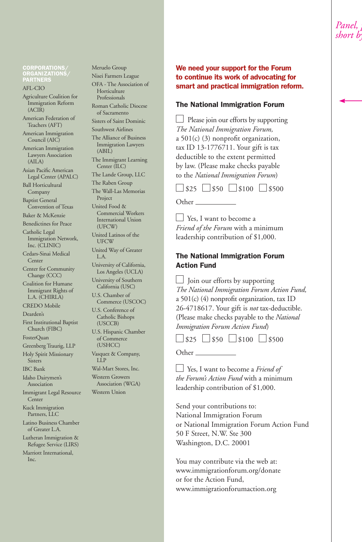CORPORATIONS/ ORGANIZATIONS/ PARTNERS

#### AFL-CIO

Agriculture Coalition for Immigration Reform (ACIR)

American Federation of Teachers (AFT)

American Immigration Council (AIC)

American Immigration Lawyers Association (AILA)

Asian Pacific American Legal Center (APALC)

Ball Horticultural Company

Baptist General Convention of Texas

Baker & McKenzie

Benedictines for Peace Catholic Legal Immigration Network, Inc. (CLINIC) Cedars-Sinai Medical

Center Center for Community

Change (CCC) Coalition for Humane

Immigrant Rights of L.A. (CHIRLA)

CREDO Mobile Dearden's

First Institutional Baptist Church (FIBC)

FosterQuan

Greenberg Traurig, LLP Holy Spirit Missionary

Sisters

IBC Bank

Idaho Dairymen's Association

Immigrant Legal Resource **Center** 

Kuck Immigration Partners, LLC

Latino Business Chamber of Greater L.A.

Lutheran Immigration & Refugee Service (LIRS) Marriott International,

Inc.

Meruelo Group Nisei Farmers League OFA - The Association of Horticulture Professionals Roman Catholic Diocese of Sacramento Sisters of Saint Dominic Southwest Airlines The Alliance of Business Immigration Lawyers (ABIL) The Immigrant Learning Center (ILC) The Lande Group, LLC The Raben Group The Wall-Las Memorias Project United Food & Commercial Workers International Union (UFCW) United Latinos of the UFCW United Way of Greater L.A. University of California, Los Angeles (UCLA) University of Southern California (USC) U.S. Chamber of Commerce (USCOC) U.S. Conference of Catholic Bishops (USCCB) U.S. Hispanic Chamber of Commerce (USHCC) Vasquez & Company, LLP Wal-Mart Stores, Inc. Western Growers Association (WGA) Western Union

### We need your support for the Forum to continue its work of advocating for smart and practical immigration reform.

#### The National Immigration Forum

| $\Box$ Please join our efforts by supporting |
|----------------------------------------------|
| The National Immigration Forum,              |
| a $501(c)$ (3) nonprofit organization,       |
| tax ID 13-1776711. Your gift is tax          |
| deductible to the extent permitted           |
| by law. (Please make checks payable          |
| to the National Immigration Forum)           |
| $525$ 50 $50$ $5100$ $5500$                  |
| Other                                        |

 Yes, I want to become a *Friend of the Forum* with a minimum leadership contribution of \$1,000.

#### The National Immigration Forum Action Fund

 $\Box$  Join our efforts by supporting *The National Immigration Forum Action Fund,* a 501(c) (4) nonprofit organization, tax ID 26-4718617. Your gift is *not* tax-deductible. (Please make checks payable to the *National Immigration Forum Action Fund*)

 $525 \square$ \$50  $5100 \square$ \$500

Other

 Yes, I want to become a *Friend of the Forum's Action Fund* with a minimum leadership contribution of \$1,000.

Send your contributions to: National Immigration Forum or National Immigration Forum Action Fund 50 F Street, N.W. Ste 300 Washington, D.C. 20001

You may contribute via the web at: www.immigrationforum.org/donate or for the Action Fund, www.immigrationforumaction.org